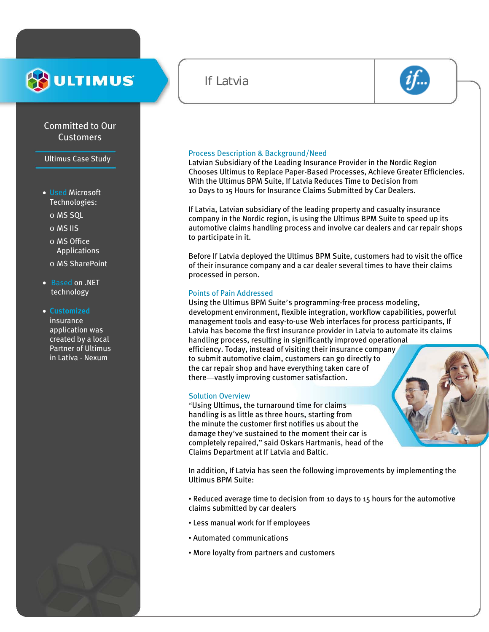# **ULTIMUS**

# Committed to Our Customers

Ultimus Case Study

- Used Microsoft Technologies:
	- o MS SQL
	- o MS IIS
	- o MS Office Applications
	- o MS SharePoint
- Based on .NET technology

#### • **Customized**

insurance application was created by a local Partner of Ultimus in Lativa - Nexum



# If Latvia



#### Process Description & Background/Need

Latvian Subsidiary of the Leading Insurance Provider in the Nordic Region Chooses Ultimus to Replace Paper-Based Processes, Achieve Greater Efficiencies. With the Ultimus BPM Suite, If Latvia Reduces Time to Decision from 10 Days to 15 Hours for Insurance Claims Submitted by Car Dealers.

If Latvia, Latvian subsidiary of the leading property and casualty insurance company in the Nordic region, is using the Ultimus BPM Suite to speed up its automotive claims handling process and involve car dealers and car repair shops to participate in it.

Before If Latvia deployed the Ultimus BPM Suite, customers had to visit the office of their insurance company and a car dealer several times to have their claims processed in person.

#### Points of Pain Addressed

Using the Ultimus BPM Suite's programming-free process modeling, development environment, flexible integration, workflow capabilities, powerful management tools and easy-to-use Web interfaces for process participants, If Latvia has become the first insurance provider in Latvia to automate its claims handling process, resulting in significantly improved operational efficiency. Today, instead of visiting their insurance company to submit automotive claim, customers can go directly to the car repair shop and have everything taken care of there—vastly improving customer satisfaction.

#### Solution Overview

"Using Ultimus, the turnaround time for claims handling is as little as three hours, starting from the minute the customer first notifies us about the damage they've sustained to the moment their car is completely repaired," said Oskars Hartmanis, head of the Claims Department at If Latvia and Baltic.

In addition, If Latvia has seen the following improvements by implementing the Ultimus BPM Suite:

• Reduced average time to decision from 10 days to 15 hours for the automotive claims submitted by car dealers

• Less manual work for If employees

j

- Automated communications
- More loyalty from partners and customers